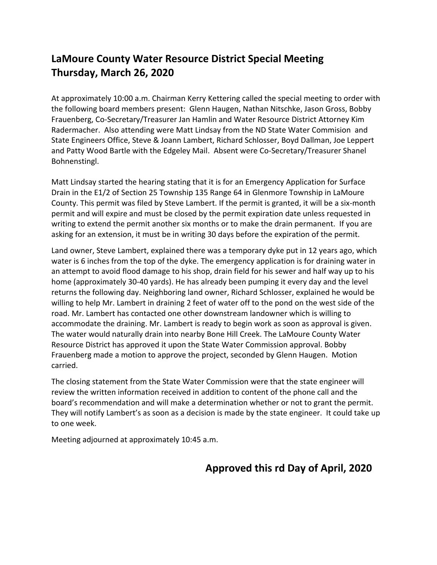## **LaMoure County Water Resource District Special Meeting Thursday, March 26, 2020**

At approximately 10:00 a.m. Chairman Kerry Kettering called the special meeting to order with the following board members present: Glenn Haugen, Nathan Nitschke, Jason Gross, Bobby Frauenberg, Co-Secretary/Treasurer Jan Hamlin and Water Resource District Attorney Kim Radermacher. Also attending were Matt Lindsay from the ND State Water Commision and State Engineers Office, Steve & Joann Lambert, Richard Schlosser, Boyd Dallman, Joe Leppert and Patty Wood Bartle with the Edgeley Mail. Absent were Co-Secretary/Treasurer Shanel Bohnenstingl.

Matt Lindsay started the hearing stating that it is for an Emergency Application for Surface Drain in the E1/2 of Section 25 Township 135 Range 64 in Glenmore Township in LaMoure County. This permit was filed by Steve Lambert. If the permit is granted, it will be a six-month permit and will expire and must be closed by the permit expiration date unless requested in writing to extend the permit another six months or to make the drain permanent. If you are asking for an extension, it must be in writing 30 days before the expiration of the permit.

Land owner, Steve Lambert, explained there was a temporary dyke put in 12 years ago, which water is 6 inches from the top of the dyke. The emergency application is for draining water in an attempt to avoid flood damage to his shop, drain field for his sewer and half way up to his home (approximately 30-40 yards). He has already been pumping it every day and the level returns the following day. Neighboring land owner, Richard Schlosser, explained he would be willing to help Mr. Lambert in draining 2 feet of water off to the pond on the west side of the road. Mr. Lambert has contacted one other downstream landowner which is willing to accommodate the draining. Mr. Lambert is ready to begin work as soon as approval is given. The water would naturally drain into nearby Bone Hill Creek. The LaMoure County Water Resource District has approved it upon the State Water Commission approval. Bobby Frauenberg made a motion to approve the project, seconded by Glenn Haugen. Motion carried.

The closing statement from the State Water Commission were that the state engineer will review the written information received in addition to content of the phone call and the board's recommendation and will make a determination whether or not to grant the permit. They will notify Lambert's as soon as a decision is made by the state engineer. It could take up to one week.

Meeting adjourned at approximately 10:45 a.m.

## **Approved this rd Day of April, 2020**